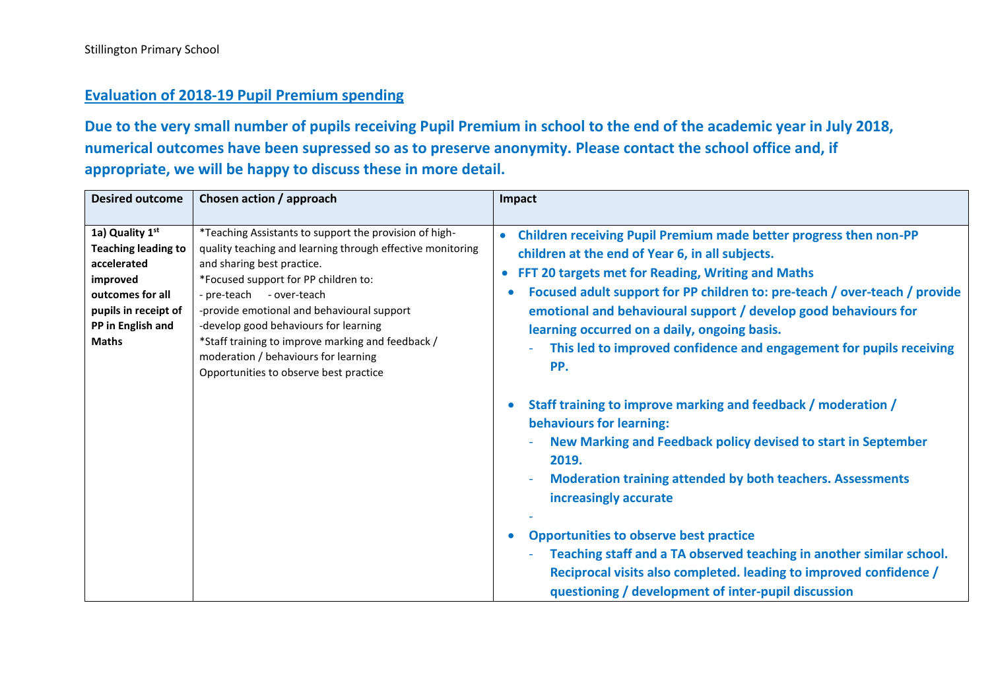## **Evaluation of 2018-19 Pupil Premium spending**

**Due to the very small number of pupils receiving Pupil Premium in school to the end of the academic year in July 2018, numerical outcomes have been supressed so as to preserve anonymity. Please contact the school office and, if appropriate, we will be happy to discuss these in more detail.**

| <b>Desired outcome</b><br>Chosen action / approach<br>Impact                                                                                                                                                                                                                                                                                                                                                                                                                                                                                                                                                                                                                                                                                                                                                                                                                                                                                                                                                                                                                                                                                                                                                                                                                                                                                                                                                                                                                                                                                                                                                                       |
|------------------------------------------------------------------------------------------------------------------------------------------------------------------------------------------------------------------------------------------------------------------------------------------------------------------------------------------------------------------------------------------------------------------------------------------------------------------------------------------------------------------------------------------------------------------------------------------------------------------------------------------------------------------------------------------------------------------------------------------------------------------------------------------------------------------------------------------------------------------------------------------------------------------------------------------------------------------------------------------------------------------------------------------------------------------------------------------------------------------------------------------------------------------------------------------------------------------------------------------------------------------------------------------------------------------------------------------------------------------------------------------------------------------------------------------------------------------------------------------------------------------------------------------------------------------------------------------------------------------------------------|
| 1a) Quality 1st<br>*Teaching Assistants to support the provision of high-<br>Children receiving Pupil Premium made better progress then non-PP<br>$\bullet$<br>quality teaching and learning through effective monitoring<br><b>Teaching leading to</b><br>children at the end of Year 6, in all subjects.<br>accelerated<br>and sharing best practice.<br>FFT 20 targets met for Reading, Writing and Maths<br>$\bullet$<br>*Focused support for PP children to:<br>improved<br>Focused adult support for PP children to: pre-teach / over-teach / provide<br>outcomes for all<br>- pre-teach - over-teach<br>-provide emotional and behavioural support<br>emotional and behavioural support / develop good behaviours for<br>pupils in receipt of<br>PP in English and<br>-develop good behaviours for learning<br>learning occurred on a daily, ongoing basis.<br><b>Maths</b><br>*Staff training to improve marking and feedback /<br>This led to improved confidence and engagement for pupils receiving<br>moderation / behaviours for learning<br>PP.<br>Opportunities to observe best practice<br>Staff training to improve marking and feedback / moderation /<br>behaviours for learning:<br>New Marking and Feedback policy devised to start in September<br>2019.<br><b>Moderation training attended by both teachers. Assessments</b><br>increasingly accurate<br><b>Opportunities to observe best practice</b><br>Teaching staff and a TA observed teaching in another similar school.<br>Reciprocal visits also completed. leading to improved confidence /<br>questioning / development of inter-pupil discussion |